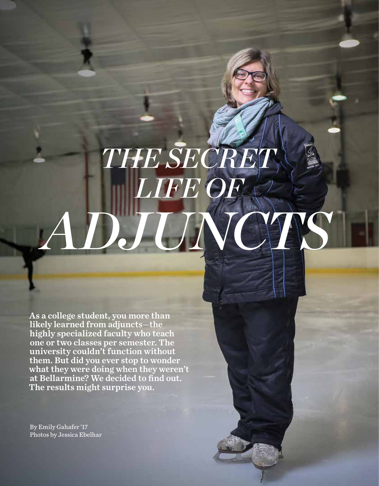## *THE SECRET LIFE OF ADJUNCTS*

As a college student, you more than likely learned from adjuncts—the highly specialized faculty who teach one or two classes per semester. The university couldn't function without them. But did you ever stop to wonder what they were doing when they weren't at Bellarmine? We decided to find out. The results might surprise you.

By Emily Gahafer '17 Photos by Jessica Ebelhar